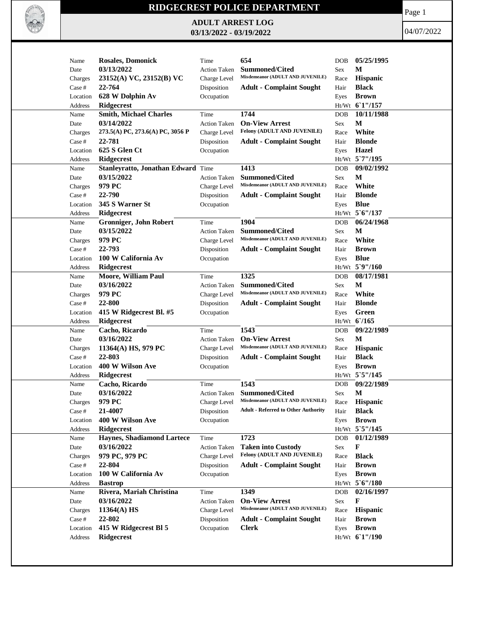

## **RIDGECREST POLICE DEPARTMENT**

**ADULT ARREST LOG 03/13/2022 - 03/19/2022**

Page 1

04/07/2022

| Name               | <b>Rosales, Domonick</b>           | Time                      | 654                                                      | <b>DOB</b>  | 05/25/1995       |
|--------------------|------------------------------------|---------------------------|----------------------------------------------------------|-------------|------------------|
| Date               | 03/13/2022                         | <b>Action Taken</b>       | <b>Summoned/Cited</b>                                    | Sex         | М                |
| Charges            | 23152(A) VC, 23152(B) VC           | Charge Level              | Misdemeanor (ADULT AND JUVENILE)                         | Race        | Hispanic         |
| Case #             | 22-764                             | Disposition               | <b>Adult - Complaint Sought</b>                          | Hair        | <b>Black</b>     |
| Location           | 628 W Dolphin Av                   | Occupation                |                                                          | Eyes        | <b>Brown</b>     |
| Address            | <b>Ridgecrest</b>                  |                           |                                                          |             | Ht/Wt 61"/157    |
| Name               | <b>Smith, Michael Charles</b>      | Time                      | 1744                                                     | <b>DOB</b>  | 10/11/1988       |
| Date               | 03/14/2022                         | <b>Action Taken</b>       | <b>On-View Arrest</b>                                    | Sex         | M                |
| Charges            | 273.5(A) PC, 273.6(A) PC, 3056 P   | Charge Level              | Felony (ADULT AND JUVENILE)                              | Race        | White            |
| Case #             | 22-781                             | Disposition               | <b>Adult - Complaint Sought</b>                          | Hair        | <b>Blonde</b>    |
| Location           | 625 S Glen Ct                      | Occupation                |                                                          | Eyes        | <b>Hazel</b>     |
| Address            | <b>Ridgecrest</b>                  |                           |                                                          |             | Ht/Wt 5`7"/195   |
| Name               | Stanleyratto, Jonathan Edward Time |                           | 1413                                                     | <b>DOB</b>  | 09/02/1992       |
| Date               | 03/15/2022                         | <b>Action Taken</b>       | <b>Summoned/Cited</b>                                    | Sex         | M                |
| Charges            | 979 PC                             | Charge Level              | Misdemeanor (ADULT AND JUVENILE)                         | Race        | White            |
| Case #             | 22-790                             | Disposition               | <b>Adult - Complaint Sought</b>                          | Hair        | <b>Blonde</b>    |
|                    |                                    |                           |                                                          |             |                  |
| Location           | 345 S Warner St                    | Occupation                |                                                          | Eyes        | <b>Blue</b>      |
| Address            | Ridgecrest                         |                           |                                                          |             | Ht/Wt 5'6"/137   |
| Name               | Gronniger, John Robert             | Time                      | 1904                                                     | <b>DOB</b>  | 06/24/1968       |
| Date               | 03/15/2022                         | <b>Action Taken</b>       | <b>Summoned/Cited</b>                                    | Sex         | М                |
| Charges            | 979 PC                             | Charge Level              | Misdemeanor (ADULT AND JUVENILE)                         | Race        | White            |
| Case #             | 22-793                             | Disposition               | <b>Adult - Complaint Sought</b>                          | Hair        | <b>Brown</b>     |
| Location           | 100 W California Av                | Occupation                |                                                          | Eyes        | <b>Blue</b>      |
| Address            | <b>Ridgecrest</b>                  |                           |                                                          |             | Ht/Wt 5`9"/160   |
| Name               | <b>Moore, William Paul</b>         | Time                      | 1325                                                     | <b>DOB</b>  | 08/17/1981       |
| Date               | 03/16/2022                         | <b>Action Taken</b>       | <b>Summoned/Cited</b>                                    | Sex         | M                |
| Charges            | 979 PC                             | Charge Level              | Misdemeanor (ADULT AND JUVENILE)                         | Race        | White            |
| Case #             | 22-800                             | Disposition               | <b>Adult - Complaint Sought</b>                          | Hair        | <b>Blonde</b>    |
| Location           | 415 W Ridgecrest Bl. #5            | Occupation                |                                                          | Eyes        | Green            |
| Address            | <b>Ridgecrest</b>                  |                           |                                                          |             | $Ht/Wt$ 6/165    |
| Name               | Cacho, Ricardo                     | Time                      | 1543                                                     | <b>DOB</b>  | 09/22/1989       |
| Date               | 03/16/2022                         | <b>Action Taken</b>       | <b>On-View Arrest</b>                                    | Sex         | $\mathbf M$      |
| Charges            | 11364(A) HS, 979 PC                | Charge Level              | Misdemeanor (ADULT AND JUVENILE)                         | Race        | Hispanic         |
| Case #             | 22-803                             | Disposition               | <b>Adult - Complaint Sought</b>                          | Hair        | <b>Black</b>     |
| Location           | 400 W Wilson Ave                   | Occupation                |                                                          | Eyes        | <b>Brown</b>     |
| Address            | <b>Ridgecrest</b>                  |                           |                                                          |             | Ht/Wt 5`5"/145   |
| Name               | Cacho, Ricardo                     | Time                      | 1543                                                     | <b>DOB</b>  | 09/22/1989       |
| Date               | 03/16/2022                         | <b>Action Taken</b>       | <b>Summoned/Cited</b>                                    |             | M                |
|                    | 979 PC                             | Charge Level              | Misdemeanor (ADULT AND JUVENILE)                         | Sex<br>Race | Hispanic         |
| Charges            | <b>21-4007</b>                     |                           | <b>Adult - Referred to Other Authority</b>               |             | <b>Black</b>     |
| Case #<br>Location | 400 W Wilson Ave                   | Disposition<br>Occupation |                                                          | Hair        | <b>Brown</b>     |
|                    |                                    |                           |                                                          | Eyes        | Ht/Wt 5`5"/145   |
| Address            | Ridgecrest                         |                           |                                                          |             |                  |
| Name               | <b>Haynes, Shadiamond Lartece</b>  | Time                      | 1723                                                     | <b>DOB</b>  | 01/12/1989       |
| Date               | 03/16/2022                         | <b>Action Taken</b>       | <b>Taken into Custody</b><br>Felony (ADULT AND JUVENILE) | Sex         | F                |
| Charges            | 979 PC, 979 PC                     | Charge Level              |                                                          | Race        | <b>Black</b>     |
| Case #             | 22-804                             | Disposition               | <b>Adult - Complaint Sought</b>                          | Hair        | <b>Brown</b>     |
| Location           | 100 W California Av                | Occupation                |                                                          | Eyes        | <b>Brown</b>     |
| Address            | <b>Bastrop</b>                     |                           |                                                          |             | $Ht/Wt$ 5 6"/180 |
| Name               | Rivera, Mariah Christina           | Time                      | 1349                                                     | <b>DOB</b>  | 02/16/1997       |
| Date               | 03/16/2022                         | <b>Action Taken</b>       | <b>On-View Arrest</b>                                    | Sex         | F                |
| Charges            | 11364(A) HS                        | Charge Level              | Misdemeanor (ADULT AND JUVENILE)                         | Race        | Hispanic         |
| Case #             | 22-802                             | Disposition               | <b>Adult - Complaint Sought</b>                          | Hair        | <b>Brown</b>     |
| Location           | 415 W Ridgecrest BI 5              | Occupation                | <b>Clerk</b>                                             | Eyes        | <b>Brown</b>     |
| Address            | Ridgecrest                         |                           |                                                          |             | Ht/Wt 61"/190    |
|                    |                                    |                           |                                                          |             |                  |
|                    |                                    |                           |                                                          |             |                  |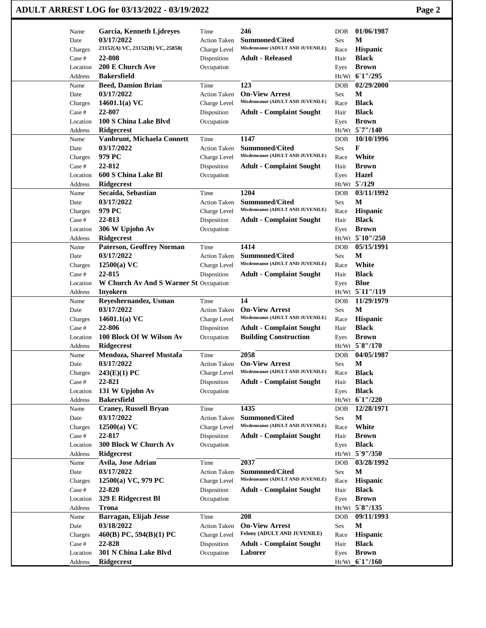| ADULT ARREST LOG for 03/13/2022 - 03/19/2022 | Page 2 |
|----------------------------------------------|--------|
|----------------------------------------------|--------|

| Name               | Garcia, Kenneth Ljdreyes               | Time                      | 246                              | <b>DOB</b>   | 01/06/1987        |
|--------------------|----------------------------------------|---------------------------|----------------------------------|--------------|-------------------|
| Date               | 03/17/2022                             | <b>Action Taken</b>       | <b>Summoned/Cited</b>            | Sex          | М                 |
| Charges            | 23152(A) VC, 23152(B) VC, 25850(       | Charge Level              | Misdemeanor (ADULT AND JUVENILE) | Race         | Hispanic          |
| Case #             | 22-808                                 | Disposition               | <b>Adult - Released</b>          | Hair         | <b>Black</b>      |
| Location           | 200 E Church Ave                       | Occupation                |                                  | Eyes         | <b>Brown</b>      |
| Address            | <b>Bakersfield</b>                     |                           |                                  |              | Ht/Wt 61"/295     |
| Name               | <b>Beed, Damion Brian</b>              | Time                      | 123                              | <b>DOB</b>   | 02/29/2000        |
| Date               | 03/17/2022                             | <b>Action Taken</b>       | <b>On-View Arrest</b>            | Sex          | M                 |
| Charges            | 14601.1(a) $VC$                        | Charge Level              | Misdemeanor (ADULT AND JUVENILE) | Race         | <b>Black</b>      |
| Case #             | 22-807                                 | Disposition               | <b>Adult - Complaint Sought</b>  | Hair         | <b>Black</b>      |
| Location           | 100 S China Lake Blvd                  | Occupation                |                                  | Eyes         | <b>Brown</b>      |
| Address            | <b>Ridgecrest</b>                      |                           |                                  |              | Ht/Wt 5`7"/140    |
| Name               | Vanbrunt, Michaela Connett             | Time                      | 1147                             | <b>DOB</b>   | 10/10/1996        |
| Date               | 03/17/2022                             | <b>Action Taken</b>       | <b>Summoned/Cited</b>            | Sex          | F                 |
| Charges            | 979 PC                                 | Charge Level              | Misdemeanor (ADULT AND JUVENILE) | Race         | White             |
| Case #             | 22-812                                 | Disposition               | <b>Adult - Complaint Sought</b>  | Hair         | <b>Brown</b>      |
| Location           | 600 S China Lake Bl                    | Occupation                |                                  | Eyes         | <b>Hazel</b>      |
| Address            | <b>Ridgecrest</b>                      |                           |                                  |              | Ht/Wt 5'/129      |
| Name               | Secaida, Sebastian                     | Time                      | 1204                             | <b>DOB</b>   | 03/11/1992        |
| Date               | 03/17/2022                             | <b>Action Taken</b>       | <b>Summoned/Cited</b>            | Sex          | M                 |
| Charges            | 979 PC                                 | Charge Level              | Misdemeanor (ADULT AND JUVENILE) | Race         | Hispanic          |
| Case #             | 22-813                                 | Disposition               | <b>Adult - Complaint Sought</b>  | Hair         | <b>Black</b>      |
| Location           | 306 W Upjohn Av                        | Occupation                |                                  | Eyes         | <b>Brown</b>      |
| Address            | Ridgecrest                             |                           |                                  |              | $Ht/Wt$ 5 10"/250 |
| Name               | <b>Paterson, Geoffrey Norman</b>       | Time                      | 1414                             | <b>DOB</b>   | 05/15/1991        |
| Date               | 03/17/2022                             | <b>Action Taken</b>       | <b>Summoned/Cited</b>            | Sex          | M                 |
| Charges            | $12500(a)$ VC                          | Charge Level              | Misdemeanor (ADULT AND JUVENILE) | Race         | White             |
| Case #             | 22-815                                 | Disposition               | <b>Adult - Complaint Sought</b>  | Hair         | <b>Black</b>      |
| Location           | W Church Av And S Warner St Occupation |                           |                                  | Eyes         | <b>Blue</b>       |
| Address            | <b>Inyokern</b>                        |                           |                                  |              | Ht/Wt 5'11"/119   |
| Name               | Reyeshernandez, Usman                  | Time                      | 14                               | <b>DOB</b>   | 11/29/1979        |
| Date               | 03/17/2022                             | <b>Action Taken</b>       | <b>On-View Arrest</b>            | Sex          | $\mathbf{M}$      |
| Charges            | 14601.1(a) $VC$                        | Charge Level              | Misdemeanor (ADULT AND JUVENILE) | Race         | <b>Hispanic</b>   |
| Case #             | 22-806                                 | Disposition               | <b>Adult - Complaint Sought</b>  | Hair         | <b>Black</b>      |
| Location           | 100 Block Of W Wilson Av               | Occupation                | <b>Building Construction</b>     | Eyes         | <b>Brown</b>      |
| Address            | <b>Ridgecrest</b>                      |                           |                                  |              | Ht/Wt 5`8"/170    |
| Name               | Mendoza, Shareef Mustafa               | Time                      | 2058<br><b>On-View Arrest</b>    | <b>DOB</b>   | 04/05/1987        |
| Date               | 03/17/2022                             | <b>Action Taken</b>       | Misdemeanor (ADULT AND JUVENILE) | Sex          | М<br><b>Black</b> |
| Charges            | 243(E)(1) PC<br>22-821                 | Charge Level              | <b>Adult - Complaint Sought</b>  | Race         | <b>Black</b>      |
| Case #<br>Location | 131 W Upjohn Av                        | Disposition<br>Occupation |                                  | Hair<br>Eyes | <b>Black</b>      |
| Address            | <b>Bakersfield</b>                     |                           |                                  |              | Ht/Wt 61"/220     |
| Name               | <b>Craney, Russell Bryan</b>           | Time                      | 1435                             | <b>DOB</b>   | 12/28/1971        |
| Date               | 03/17/2022                             | <b>Action Taken</b>       | <b>Summoned/Cited</b>            | Sex          | $\mathbf{M}$      |
| Charges            | $12500(a)$ VC                          | Charge Level              | Misdemeanor (ADULT AND JUVENILE) | Race         | White             |
| Case #             | 22-817                                 | Disposition               | <b>Adult - Complaint Sought</b>  | Hair         | <b>Brown</b>      |
| Location           | 300 Block W Church Av                  | Occupation                |                                  | Eyes         | <b>Black</b>      |
| Address            | Ridgecrest                             |                           |                                  |              | Ht/Wt 5`9"/350    |
| Name               | Avila, Jose Adrian                     | Time                      | 2037                             | <b>DOB</b>   | 03/28/1992        |
| Date               | 03/17/2022                             | <b>Action Taken</b>       | Summoned/Cited                   | Sex          | M                 |
| Charges            | 12500(a) VC, 979 PC                    | Charge Level              | Misdemeanor (ADULT AND JUVENILE) | Race         | <b>Hispanic</b>   |
| Case #             | 22-820                                 | Disposition               | <b>Adult - Complaint Sought</b>  | Hair         | <b>Black</b>      |
| Location           | 329 E Ridgecrest Bl                    | Occupation                |                                  | Eyes         | <b>Brown</b>      |
| Address            | <b>Trona</b>                           |                           |                                  |              | Ht/Wt 5'8"/135    |
| Name               | Barragan, Elijah Jesse                 | Time                      | 208                              | <b>DOB</b>   | 09/11/1993        |
| Date               | 03/18/2022                             | <b>Action Taken</b>       | <b>On-View Arrest</b>            | Sex          | M                 |
| Charges            | 460(B) PC, 594(B)(1) PC                | Charge Level              | Felony (ADULT AND JUVENILE)      | Race         | Hispanic          |
| Case #             | 22-828                                 | Disposition               | <b>Adult - Complaint Sought</b>  | Hair         | <b>Black</b>      |
| Location           | 301 N China Lake Blvd                  | Occupation                | Laborer                          | Eyes         | <b>Brown</b>      |
| Address            | Ridgecrest                             |                           |                                  |              | Ht/Wt_6`1"/160    |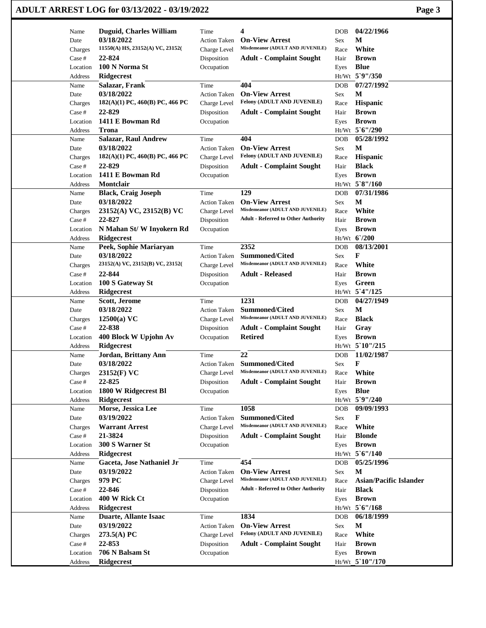|                   | ADULT ARREST LOG for 03/13/2022 - 03/19/2022 |                             |                                                           |              | Page 3                        |
|-------------------|----------------------------------------------|-----------------------------|-----------------------------------------------------------|--------------|-------------------------------|
| Name              | <b>Duguid, Charles William</b>               | Time                        | 4                                                         | DOB          | 04/22/1966                    |
| Date              | 03/18/2022                                   | <b>Action Taken</b>         | <b>On-View Arrest</b>                                     | Sex          | М                             |
| Charges           | 11550(A) HS, 23152(A) VC, 23152(             | Charge Level                | Misdemeanor (ADULT AND JUVENILE)                          | Race         | White                         |
| Case #            | 22-824                                       | Disposition                 | <b>Adult - Complaint Sought</b>                           | Hair         | <b>Brown</b>                  |
| Location          | 100 N Norma St                               | Occupation                  |                                                           | Eyes         | <b>Blue</b>                   |
| Address           | Ridgecrest                                   |                             |                                                           |              | Ht/Wt 5`9"/350                |
| Name              | Salazar, Frank                               | Time                        | 404                                                       | DOB          | 07/27/1992                    |
| Date              | 03/18/2022                                   | <b>Action Taken</b>         | <b>On-View Arrest</b>                                     | Sex          | M                             |
| Charges           | 182(A)(1) PC, 460(B) PC, 466 PC              | Charge Level                | Felony (ADULT AND JUVENILE)                               | Race         | Hispanic                      |
| Case #            | 22-829                                       | Disposition                 | <b>Adult - Complaint Sought</b>                           | Hair         | <b>Brown</b>                  |
| Location          | 1411 E Bowman Rd                             | Occupation                  |                                                           | Eyes         | <b>Brown</b>                  |
| Address           | <b>Trona</b>                                 |                             |                                                           |              | Ht/Wt 5'6"/290                |
| Name              | <b>Salazar, Raul Andrew</b>                  | Time                        | 404                                                       | DOB          | 05/28/1992                    |
| Date              | 03/18/2022                                   | <b>Action Taken</b>         | <b>On-View Arrest</b>                                     | Sex          | M                             |
| Charges           | 182(A)(1) PC, 460(B) PC, 466 PC              | Charge Level                | Felony (ADULT AND JUVENILE)                               | Race         | <b>Hispanic</b>               |
| Case #            | 22-829                                       | Disposition                 | <b>Adult - Complaint Sought</b>                           | Hair         | <b>Black</b>                  |
| Location          | 1411 E Bowman Rd                             | Occupation                  |                                                           | Eyes         | <b>Brown</b>                  |
| Address           | Montclair                                    |                             |                                                           |              | Ht/Wt 5`8"/160                |
| Name              | <b>Black, Craig Joseph</b>                   | Time                        | 129                                                       | DOB          | 07/31/1986                    |
| Date              | 03/18/2022                                   | <b>Action Taken</b>         | <b>On-View Arrest</b>                                     | Sex          | М                             |
| Charges           | 23152(A) VC, 23152(B) VC                     | Charge Level                | Misdemeanor (ADULT AND JUVENILE)                          | Race         | White                         |
| Case #            | 22-827                                       | Disposition                 | <b>Adult - Referred to Other Authority</b>                | Hair         | <b>Brown</b>                  |
| Location          | N Mahan St/W Inyokern Rd                     | Occupation                  |                                                           | Eyes         | <b>Brown</b>                  |
| Address           | Ridgecrest                                   |                             |                                                           |              | Ht/Wt 6'/200                  |
| Name              | Peek, Sophie Mariaryan                       | Time                        | 2352                                                      | <b>DOB</b>   | 08/13/2001                    |
| Date              | 03/18/2022                                   | <b>Action Taken</b>         | <b>Summoned/Cited</b>                                     | Sex          | F                             |
| Charges           | 23152(A) VC, 23152(B) VC, 23152(             | Charge Level                | Misdemeanor (ADULT AND JUVENILE)                          | Race         | White                         |
| Case #            | 22-844                                       | Disposition                 | <b>Adult - Released</b>                                   | Hair         | <b>Brown</b>                  |
| Location          | 100 S Gateway St                             | Occupation                  |                                                           | Eyes         | Green                         |
| Address           | <b>Ridgecrest</b>                            |                             |                                                           |              | Ht/Wt 5'4"/125                |
| Name              | Scott, Jerome                                | Time                        | 1231                                                      | DOB          | 04/27/1949                    |
| Date              | 03/18/2022                                   | <b>Action Taken</b>         | <b>Summoned/Cited</b><br>Misdemeanor (ADULT AND JUVENILE) | Sex          | M                             |
| Charges           | $12500(a)$ VC                                | Charge Level                |                                                           | Race         | <b>Black</b>                  |
| Case #            | 22-838                                       | Disposition                 | <b>Adult - Complaint Sought</b>                           | Hair         | Gray                          |
| Location          | 400 Block W Upjohn Av                        | Occupation                  | <b>Retired</b>                                            | Eyes         | <b>Brown</b>                  |
| Address           | Ridgecrest                                   |                             |                                                           | Ht/Wt        | 5`10"/215<br>11/02/1987       |
| Name              | Jordan, Brittany Ann                         | Time                        | 22                                                        | <b>DOB</b>   |                               |
| Date              | 03/18/2022                                   | <b>Action Taken</b>         | Summoned/Cited<br>Misdemeanor (ADULT AND JUVENILE)        | Sex          | F<br>White                    |
| Charges           | 23152(F) VC<br>22-825                        | Charge Level                |                                                           | Race         | <b>Brown</b>                  |
| Case #            |                                              | Disposition                 | <b>Adult - Complaint Sought</b>                           | Hair         |                               |
| Location          | 1800 W Ridgecrest Bl<br>Ridgecrest           | Occupation                  |                                                           | Eyes         | <b>Blue</b><br>Ht/Wt 5`9"/240 |
| Address<br>Name   | Morse, Jessica Lee                           | Time                        | 1058                                                      | DOB          | 09/09/1993                    |
|                   | 03/19/2022                                   | <b>Action Taken</b>         | <b>Summoned/Cited</b>                                     | Sex          | F                             |
| Date              | <b>Warrant Arrest</b>                        |                             | Misdemeanor (ADULT AND JUVENILE)                          |              | White                         |
| Charges<br>Case # | 21-3824                                      | Charge Level<br>Disposition | <b>Adult - Complaint Sought</b>                           | Race<br>Hair | <b>Blonde</b>                 |
| Location          | 300 S Warner St                              | Occupation                  |                                                           |              | <b>Brown</b>                  |
| Address           | Ridgecrest                                   |                             |                                                           | Eyes         | Ht/Wt 5'6"/140                |
| Name              | Gaceta, Jose Nathaniel Jr                    | Time                        | 454                                                       | DOB          | 05/25/1996                    |
| Date              | 03/19/2022                                   | <b>Action Taken</b>         | <b>On-View Arrest</b>                                     | Sex          | М                             |
| Charges           | 979 PC                                       | Charge Level                | Misdemeanor (ADULT AND JUVENILE)                          | Race         | Asian/Pacific Islander        |
| Case #            | 22-846                                       | Disposition                 | <b>Adult - Referred to Other Authority</b>                | Hair         | <b>Black</b>                  |
| Location          | 400 W Rick Ct                                | Occupation                  |                                                           | Eyes         | <b>Brown</b>                  |
| Address           | Ridgecrest                                   |                             |                                                           |              | $Ht/Wt$ 5 6"/168              |
| Name              | Duarte, Allante Isaac                        | Time                        | 1834                                                      | <b>DOB</b>   | 06/18/1999                    |
| Date              | 03/19/2022                                   | <b>Action Taken</b>         | <b>On-View Arrest</b>                                     | Sex          | $\mathbf M$                   |
| Charges           | 273.5(A) PC                                  | Charge Level                | Felony (ADULT AND JUVENILE)                               | Race         | White                         |
| Case #            | 22-853                                       | Disposition                 | <b>Adult - Complaint Sought</b>                           | Hair         | <b>Brown</b>                  |
| Location          | 706 N Balsam St                              | Occupation                  |                                                           | Eyes         | <b>Brown</b>                  |
| Address           | Ridgecrest                                   |                             |                                                           |              | Ht/Wt 5`10"/170               |
|                   |                                              |                             |                                                           |              |                               |